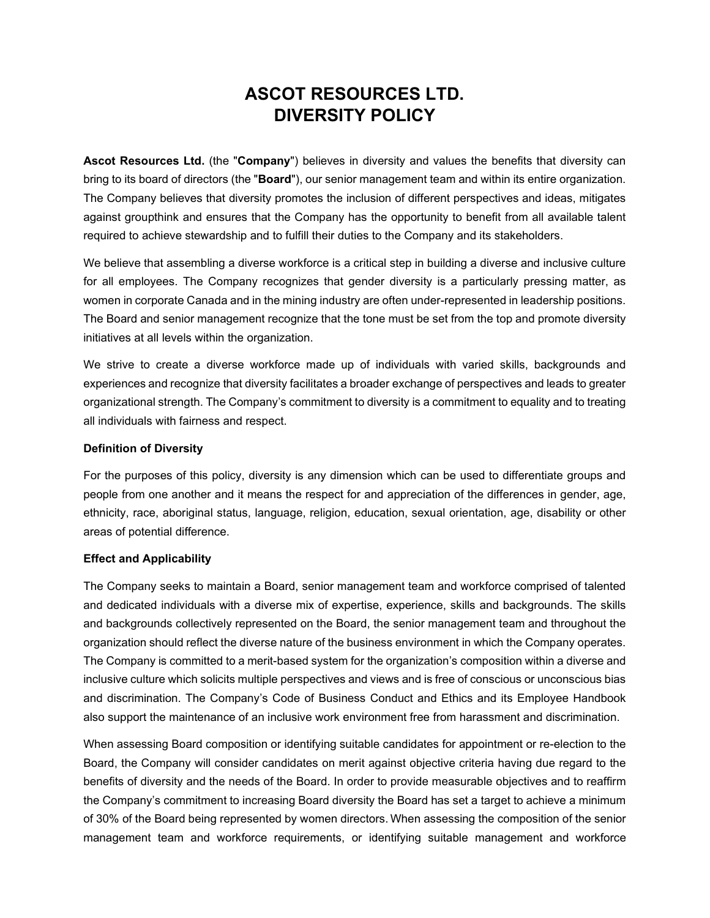## **ASCOT RESOURCES LTD. DIVERSITY POLICY**

**Ascot Resources Ltd.** (the "**Company**") believes in diversity and values the benefits that diversity can bring to its board of directors (the "**Board**"), our senior management team and within its entire organization. The Company believes that diversity promotes the inclusion of different perspectives and ideas, mitigates against groupthink and ensures that the Company has the opportunity to benefit from all available talent required to achieve stewardship and to fulfill their duties to the Company and its stakeholders.

We believe that assembling a diverse workforce is a critical step in building a diverse and inclusive culture for all employees. The Company recognizes that gender diversity is a particularly pressing matter, as women in corporate Canada and in the mining industry are often under-represented in leadership positions. The Board and senior management recognize that the tone must be set from the top and promote diversity initiatives at all levels within the organization.

We strive to create a diverse workforce made up of individuals with varied skills, backgrounds and experiences and recognize that diversity facilitates a broader exchange of perspectives and leads to greater organizational strength. The Company's commitment to diversity is a commitment to equality and to treating all individuals with fairness and respect.

## **Definition of Diversity**

For the purposes of this policy, diversity is any dimension which can be used to differentiate groups and people from one another and it means the respect for and appreciation of the differences in gender, age, ethnicity, race, aboriginal status, language, religion, education, sexual orientation, age, disability or other areas of potential difference.

## **Effect and Applicability**

The Company seeks to maintain a Board, senior management team and workforce comprised of talented and dedicated individuals with a diverse mix of expertise, experience, skills and backgrounds. The skills and backgrounds collectively represented on the Board, the senior management team and throughout the organization should reflect the diverse nature of the business environment in which the Company operates. The Company is committed to a merit-based system for the organization's composition within a diverse and inclusive culture which solicits multiple perspectives and views and is free of conscious or unconscious bias and discrimination. The Company's Code of Business Conduct and Ethics and its Employee Handbook also support the maintenance of an inclusive work environment free from harassment and discrimination.

When assessing Board composition or identifying suitable candidates for appointment or re-election to the Board, the Company will consider candidates on merit against objective criteria having due regard to the benefits of diversity and the needs of the Board. In order to provide measurable objectives and to reaffirm the Company's commitment to increasing Board diversity the Board has set a target to achieve a minimum of 30% of the Board being represented by women directors. When assessing the composition of the senior management team and workforce requirements, or identifying suitable management and workforce